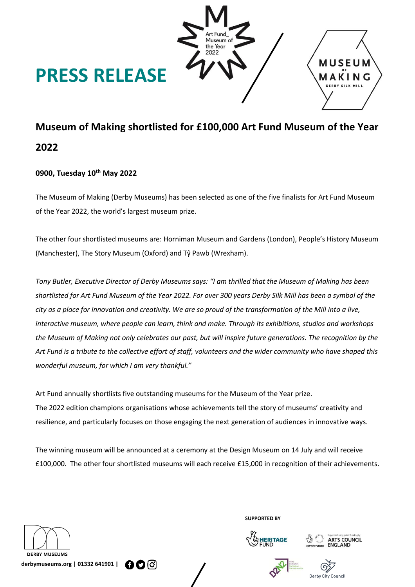

# **Museum of Making shortlisted for £100,000 Art Fund Museum of the Year 2022**

# **0900, Tuesday 10th May 2022**

The Museum of Making (Derby Museums) has been selected as one of the five finalists for Art Fund Museum of the Year 2022, the world's largest museum prize.

The other four shortlisted museums are: Horniman Museum and Gardens (London), People's History Museum (Manchester), The Story Museum (Oxford) and Tŷ Pawb (Wrexham).

*Tony Butler, Executive Director of Derby Museums says: "I am thrilled that the Museum of Making has been shortlisted for Art Fund Museum of the Year 2022. For over 300 years Derby Silk Mill has been a symbol of the city as a place for innovation and creativity. We are so proud of the transformation of the Mill into a live, interactive museum, where people can learn, think and make. Through its exhibitions, studios and workshops the Museum of Making not only celebrates our past, but will inspire future generations. The recognition by the Art Fund is a tribute to the collective effort of staff, volunteers and the wider community who have shaped this wonderful museum, for which I am very thankful."*

Art Fund annually shortlists five outstanding museums for the Museum of the Year prize. The 2022 edition champions organisations whose achievements tell the story of museums' creativity and resilience, and particularly focuses on those engaging the next generation of audiences in innovative ways.

The winning museum will be announced at a ceremony at the Design Museum on 14 July and will receive £100,000. The other four shortlisted museums will each receive £15,000 in recognition of their achievements.



**SUPPORTED BY**







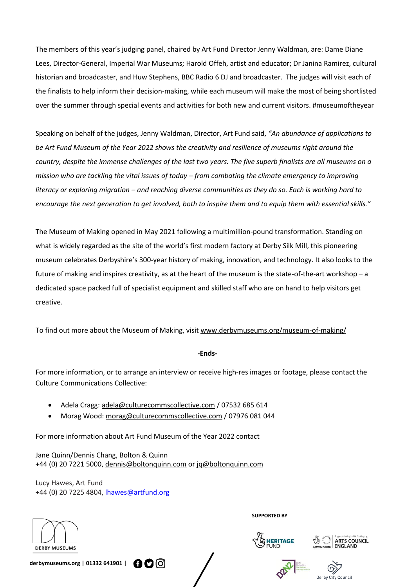The members of this year's judging panel, chaired by Art Fund Director Jenny Waldman, are: Dame Diane Lees, Director-General, Imperial War Museums; Harold Offeh, artist and educator; Dr Janina Ramirez, cultural historian and broadcaster, and Huw Stephens, BBC Radio 6 DJ and broadcaster. The judges will visit each of the finalists to help inform their decision-making, while each museum will make the most of being shortlisted over the summer through special events and activities for both new and current visitors. #museumoftheyear

Speaking on behalf of the judges, Jenny Waldman, Director, Art Fund said, *"An abundance of applications to be Art Fund Museum of the Year 2022 shows the creativity and resilience of museums right around the country, despite the immense challenges of the last two years. The five superb finalists are all museums on a mission who are tackling the vital issues of today – from combating the climate emergency to improving literacy or exploring migration – and reaching diverse communities as they do so. Each is working hard to encourage the next generation to get involved, both to inspire them and to equip them with essential skills."*

The Museum of Making opened in May 2021 following a multimillion-pound transformation. Standing on what is widely regarded as the site of the world's first modern factory at Derby Silk Mill, this pioneering museum celebrates Derbyshire's 300-year history of making, innovation, and technology. It also looks to the future of making and inspires creativity, as at the heart of the museum is the state-of-the-art workshop – a dedicated space packed full of specialist equipment and skilled staff who are on hand to help visitors get creative.

To find out more about the Museum of Making, visit [www.derbymuseums.org/museum-of-making/](http://www.derbymuseums.org/museum-of-making/)

#### **-Ends-**

For more information, or to arrange an interview or receive high-res images or footage, please contact the Culture Communications Collective:

- Adela Cragg: [adela@culturecommscollective.com](mailto:adela@culturecommscollective.com) / 07532 685 614
- Morag Wood: [morag@culturecommscollective.com](mailto:morag@culturecommscollective.com) / 07976 081 044

For more information about Art Fund Museum of the Year 2022 contact

Jane Quinn/Dennis Chang, Bolton & Quinn +44 (0) 20 7221 5000, [dennis@boltonquinn.com](mailto:dennis@boltonquinn.com) or [jq@boltonquinn.com](mailto:jq@boltonquinn.com)

Lucy Hawes, Art Fund +44 (0) 20 7225 4804, [lhawes@artfund.org](mailto:lhawes@artfund.org)



**SUPPORTED BY**







**derbymuseums.org | 01332 641901 |**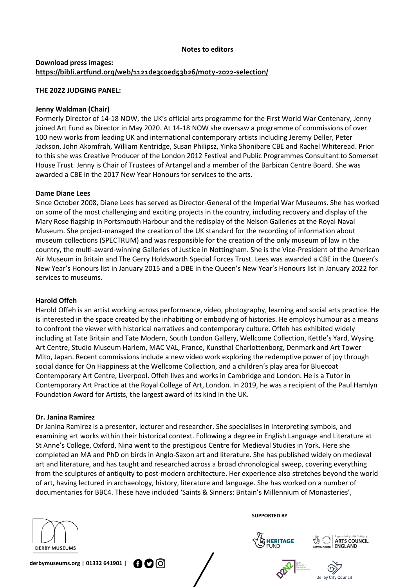#### **Notes to editors**

# **Download press images: <https://bibli.artfund.org/web/1121de3c0ed53b26/moty-2022-selection/>**

#### **THE 2022 JUDGING PANEL:**

# **Jenny Waldman (Chair)**

Formerly Director of 14-18 NOW, the UK's official arts programme for the First World War Centenary, Jenny joined Art Fund as Director in May 2020. At 14-18 NOW she oversaw a programme of commissions of over 100 new works from leading UK and international contemporary artists including Jeremy Deller, Peter Jackson, John Akomfrah, William Kentridge, Susan Philipsz, Yinka Shonibare CBE and Rachel Whiteread. Prior to this she was Creative Producer of the London 2012 Festival and Public Programmes Consultant to Somerset House Trust. Jenny is Chair of Trustees of Artangel and a member of the Barbican Centre Board. She was awarded a CBE in the 2017 New Year Honours for services to the arts.

#### **Dame Diane Lees**

Since October 2008, Diane Lees has served as Director-General of the Imperial War Museums. She has worked on some of the most challenging and exciting projects in the country, including recovery and display of the Mary Rose flagship in Portsmouth Harbour and the redisplay of the Nelson Galleries at the Royal Naval Museum. She project-managed the creation of the UK standard for the recording of information about museum collections (SPECTRUM) and was responsible for the creation of the only museum of law in the country, the multi-award-winning Galleries of Justice in Nottingham. She is the Vice-President of the American Air Museum in Britain and The Gerry Holdsworth Special Forces Trust. Lees was awarded a CBE in the Queen's New Year's Honours list in January 2015 and a DBE in the Queen's New Year's Honours list in January 2022 for services to museums.

#### **Harold Offeh**

Harold Offeh is an artist working across performance, video, photography, learning and social arts practice. He is interested in the space created by the inhabiting or embodying of histories. He employs humour as a means to confront the viewer with historical narratives and contemporary culture. Offeh has exhibited widely including at Tate Britain and Tate Modern, South London Gallery, Wellcome Collection, Kettle's Yard, Wysing Art Centre, Studio Museum Harlem, MAC VAL, France, Kunsthal Charlottenborg, Denmark and Art Tower Mito, Japan. Recent commissions include a new video work exploring the redemptive power of joy through social dance for On Happiness at the Wellcome Collection, and a children's play area for Bluecoat Contemporary Art Centre, Liverpool. Offeh lives and works in Cambridge and London. He is a Tutor in Contemporary Art Practice at the Royal College of Art, London. In 2019, he was a recipient of the Paul Hamlyn Foundation Award for Artists, the largest award of its kind in the UK.

#### **Dr. Janina Ramirez**

Dr Janina Ramirez is a presenter, lecturer and researcher. She specialises in interpreting symbols, and examining art works within their historical context. Following a degree in English Language and Literature at St Anne's College, Oxford, Nina went to the prestigious Centre for Medieval Studies in York. Here she completed an MA and PhD on birds in Anglo-Saxon art and literature. She has published widely on medieval art and literature, and has taught and researched across a broad chronological sweep, covering everything from the sculptures of antiquity to post-modern architecture. Her experience also stretches beyond the world of art, having lectured in archaeology, history, literature and language. She has worked on a number of documentaries for BBC4. These have included 'Saints & Sinners: Britain's Millennium of Monasteries',



**SUPPORTED BY**





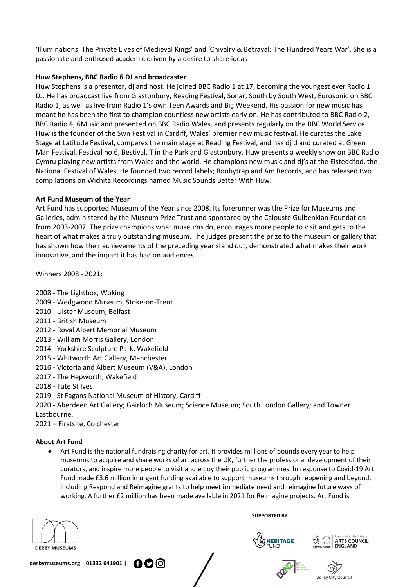'Illuminations: The Private Lives of Medieval Kings' and 'Chivalry & Betrayal: The Hundred Years War'. She is a passionate and enthused academic driven by a desire to share ideas

# **Huw Stephens, BBC Radio 6 DJ and broadcaster**

Huw Stephens is a presenter, dj and host. He joined BBC Radio 1 at 17, becoming the youngest ever Radio 1 DJ. He has broadcast live from Glastonbury, Reading Festival, Sonar, South by South West, Eurosonic on BBC Radio 1, as well as live from Radio 1's own Teen Awards and Big Weekend. His passion for new music has meant he has been the first to champion countless new artists early on. He has contributed to BBC Radio 2, BBC Radio 4, 6Music and presented on BBC Radio Wales, and presents regularly on the BBC World Service. Huw is the founder of the Swn Festival in Cardiff, Wales' premier new music festival. He curates the Lake Stage at Latitude Festival, comperes the main stage at Reading Festival, and has dj'd and curated at Green Man Festival, Festival no 6, Bestival, T in the Park and Glastonbury. Huw presents a weekly show on BBC Radio Cymru playing new artists from Wales and the world. He champions new music and dj's at the Eisteddfod, the National Festival of Wales. He founded two record labels; Boobytrap and Am Records, and has released two compilations on Wichita Recordings named Music Sounds Better With Huw.

# **Art Fund Museum of the Year**

Art Fund has supported Museum of the Year since 2008. Its forerunner was the Prize for Museums and Galleries, administered by the Museum Prize Trust and sponsored by the Calouste Gulbenkian Foundation from 2003-2007. The prize champions what museums do, encourages more people to visit and gets to the heart of what makes a truly outstanding museum. The judges present the prize to the museum or gallery that has shown how their achievements of the preceding year stand out, demonstrated what makes their work innovative, and the impact it has had on audiences.

Winners 2008 - 2021:

- 2008 The Lightbox, Woking
- 2009 Wedgwood Museum, Stoke-on-Trent
- 2010 Ulster Museum, Belfast
- 2011 British Museum
- 2012 Royal Albert Memorial Museum
- 2013 William Morris Gallery, London
- 2014 Yorkshire Sculpture Park, Wakefield
- 2015 Whitworth Art Gallery, Manchester
- 2016 Victoria and Albert Museum (V&A), London
- 2017 The Hepworth, Wakefield
- 2018 Tate St Ives
- 2019 St Fagans National Museum of History, Cardiff

2020 - Aberdeen Art Gallery; Gairloch Museum; Science Museum; South London Gallery; and Towner Eastbourne.

2021 – Firstsite, Colchester

#### **About Art Fund**

• Art Fund is the national fundraising charity for art. It provides millions of pounds every year to help museums to acquire and share works of art across the UK, further the professional development of their curators, and inspire more people to visit and enjoy their public programmes. In response to Covid-19 Art Fund made £3.6 million in urgent funding available to support museums through reopening and beyond, including Respond and Reimagine grants to help meet immediate need and reimagine future ways of working. A further £2 million has been made available in 2021 for Reimagine projects. Art Fund is



**SUPPORTED BY**